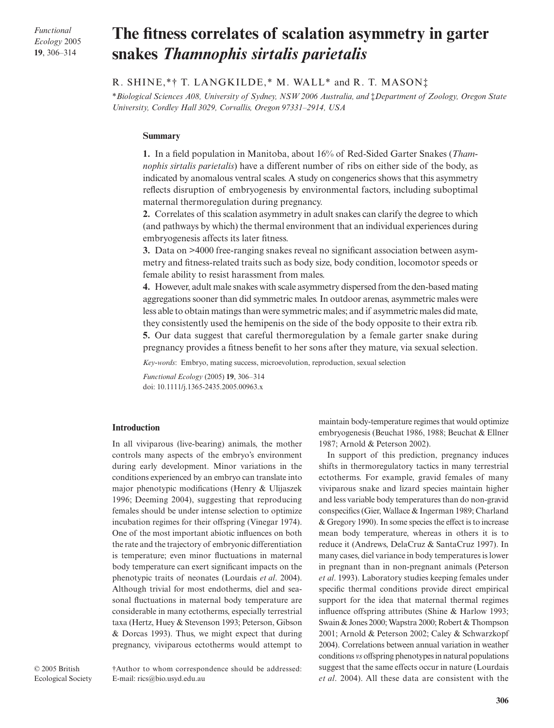*Functional Ecology* 2005 **19**, 306–314

# The fitness correlates of scalation asymmetry in garter **snakes** *Thamnophis sirtalis parietalis*

# R. SHINE,\*† T. LANGKILDE,\* M. WALL\* and R. T. MASON‡

\**Biological Sciences A08, University of Sydney, NSW 2006 Australia, and* ‡*Department of Zoology, Oregon State University, Cordley Hall 3029, Corvallis, Oregon 97331–2914, USA*

#### **Summary**

**1.** In a field population in Manitoba, about 16% of Red-Sided Garter Snakes (*Thamnophis sirtalis parietalis*) have a different number of ribs on either side of the body, as indicated by anomalous ventral scales. A study on congenerics shows that this asymmetry reflects disruption of embryogenesis by environmental factors, including suboptimal maternal thermoregulation during pregnancy.

**2.** Correlates of this scalation asymmetry in adult snakes can clarify the degree to which (and pathways by which) the thermal environment that an individual experiences during embryogenesis affects its later fitness.

**3.** Data on >4000 free-ranging snakes reveal no significant association between asymmetry and fitness-related traits such as body size, body condition, locomotor speeds or female ability to resist harassment from males.

**4.** However, adult male snakes with scale asymmetry dispersed from the den-based mating aggregations sooner than did symmetric males. In outdoor arenas, asymmetric males were less able to obtain matings than were symmetric males; and if asymmetric males did mate, they consistently used the hemipenis on the side of the body opposite to their extra rib.

**5.** Our data suggest that careful thermoregulation by a female garter snake during pregnancy provides a fitness benefit to her sons after they mature, via sexual selection.

*Key-words*: Embryo, mating success, microevolution, reproduction, sexual selection

*Functional Ecology* (2005) **19**, 306–314 doi: 10.1111/j.1365-2435.2005.00963.x

#### **Introduction**

In all viviparous (live-bearing) animals, the mother controls many aspects of the embryo's environment during early development. Minor variations in the conditions experienced by an embryo can translate into major phenotypic modifications (Henry & Ulijaszek 1996; Deeming 2004), suggesting that reproducing females should be under intense selection to optimize incubation regimes for their offspring (Vinegar 1974). One of the most important abiotic influences on both the rate and the trajectory of embryonic differentiation is temperature; even minor fluctuations in maternal body temperature can exert significant impacts on the phenotypic traits of neonates (Lourdais *et al*. 2004). Although trivial for most endotherms, diel and seasonal fluctuations in maternal body temperature are considerable in many ectotherms, especially terrestrial taxa (Hertz, Huey & Stevenson 1993; Peterson, Gibson & Dorcas 1993). Thus, we might expect that during pregnancy, viviparous ectotherms would attempt to

†Author to whom correspondence should be addressed: E-mail: rics@bio.usyd.edu.au

maintain body-temperature regimes that would optimize embryogenesis (Beuchat 1986, 1988; Beuchat & Ellner 1987; Arnold & Peterson 2002).

In support of this prediction, pregnancy induces shifts in thermoregulatory tactics in many terrestrial ectotherms. For example, gravid females of many viviparous snake and lizard species maintain higher and less variable body temperatures than do non-gravid conspecifics (Gier, Wallace & Ingerman 1989; Charland & Gregory 1990). In some species the effect is to increase mean body temperature, whereas in others it is to reduce it (Andrews, DelaCruz & SantaCruz 1997). In many cases, diel variance in body temperatures is lower in pregnant than in non-pregnant animals (Peterson *et al*. 1993). Laboratory studies keeping females under specific thermal conditions provide direct empirical support for the idea that maternal thermal regimes influence offspring attributes (Shine & Harlow 1993; Swain & Jones 2000; Wapstra 2000; Robert & Thompson 2001; Arnold & Peterson 2002; Caley & Schwarzkopf 2004). Correlations between annual variation in weather conditions *vs* offspring phenotypes in natural populations suggest that the same effects occur in nature (Lourdais *et al*. 2004). All these data are consistent with the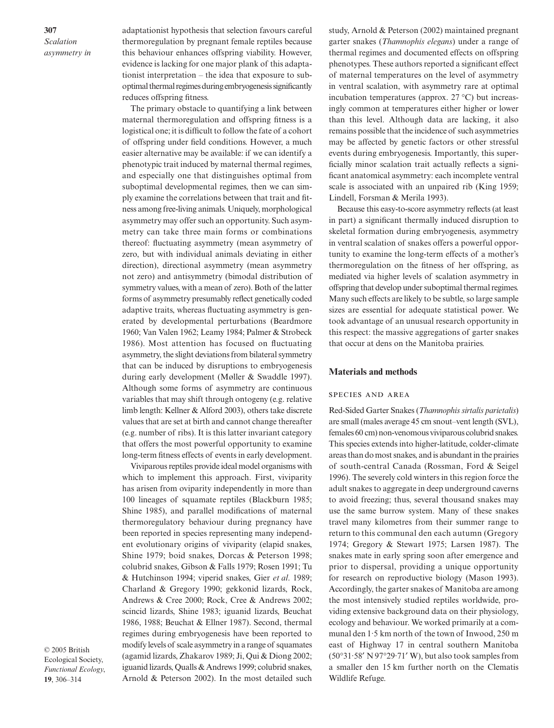adaptationist hypothesis that selection favours careful thermoregulation by pregnant female reptiles because this behaviour enhances offspring viability. However, evidence is lacking for one major plank of this adaptationist interpretation – the idea that exposure to suboptimal thermal regimes during embryogenesis significantly reduces offspring fitness.

The primary obstacle to quantifying a link between maternal thermoregulation and offspring fitness is a logistical one; it is difficult to follow the fate of a cohort of offspring under field conditions. However, a much easier alternative may be available: if we can identify a phenotypic trait induced by maternal thermal regimes, and especially one that distinguishes optimal from suboptimal developmental regimes, then we can simply examine the correlations between that trait and fitness among free-living animals. Uniquely, morphological asymmetry may offer such an opportunity. Such asymmetry can take three main forms or combinations thereof: fluctuating asymmetry (mean asymmetry of zero, but with individual animals deviating in either direction), directional asymmetry (mean asymmetry not zero) and antisymmetry (bimodal distribution of symmetry values, with a mean of zero). Both of the latter forms of asymmetry presumably reflect genetically coded adaptive traits, whereas fluctuating asymmetry is generated by developmental perturbations (Beardmore 1960; Van Valen 1962; Leamy 1984; Palmer & Strobeck 1986). Most attention has focused on fluctuating asymmetry, the slight deviations from bilateral symmetry that can be induced by disruptions to embryogenesis during early development (Møller & Swaddle 1997). Although some forms of asymmetry are continuous variables that may shift through ontogeny (e.g. relative limb length: Kellner & Alford 2003), others take discrete values that are set at birth and cannot change thereafter (e.g. number of ribs). It is this latter invariant category that offers the most powerful opportunity to examine long-term fitness effects of events in early development.

Viviparous reptiles provide ideal model organisms with which to implement this approach. First, viviparity has arisen from oviparity independently in more than 100 lineages of squamate reptiles (Blackburn 1985; Shine 1985), and parallel modifications of maternal thermoregulatory behaviour during pregnancy have been reported in species representing many independent evolutionary origins of viviparity (elapid snakes, Shine 1979; boid snakes, Dorcas & Peterson 1998; colubrid snakes, Gibson & Falls 1979; Rosen 1991; Tu & Hutchinson 1994; viperid snakes, Gier *et al*. 1989; Charland & Gregory 1990; gekkonid lizards, Rock, Andrews & Cree 2000; Rock, Cree & Andrews 2002; scincid lizards, Shine 1983; iguanid lizards, Beuchat 1986, 1988; Beuchat & Ellner 1987). Second, thermal regimes during embryogenesis have been reported to modify levels of scale asymmetry in a range of squamates (agamid lizards, Zhakarov 1989; Ji, Qui & Diong 2002; iguanid lizards, Qualls & Andrews 1999; colubrid snakes, Arnold & Peterson 2002). In the most detailed such

© 2005 British Ecological Society, *Functional Ecology*, **19**, 306–314

study, Arnold & Peterson (2002) maintained pregnant garter snakes (*Thamnophis elegans*) under a range of thermal regimes and documented effects on offspring phenotypes. These authors reported a significant effect of maternal temperatures on the level of asymmetry in ventral scalation, with asymmetry rare at optimal incubation temperatures (approx. 27 °C) but increasingly common at temperatures either higher or lower than this level. Although data are lacking, it also remains possible that the incidence of such asymmetries may be affected by genetic factors or other stressful events during embryogenesis. Importantly, this superficially minor scalation trait actually reflects a significant anatomical asymmetry: each incomplete ventral scale is associated with an unpaired rib (King 1959; Lindell, Forsman & Merila 1993).

Because this easy-to-score asymmetry reflects (at least in part) a significant thermally induced disruption to skeletal formation during embryogenesis, asymmetry in ventral scalation of snakes offers a powerful opportunity to examine the long-term effects of a mother's thermoregulation on the fitness of her offspring, as mediated via higher levels of scalation asymmetry in offspring that develop under suboptimal thermal regimes. Many such effects are likely to be subtle, so large sample sizes are essential for adequate statistical power. We took advantage of an unusual research opportunity in this respect: the massive aggregations of garter snakes that occur at dens on the Manitoba prairies.

## **Materials and methods**

#### SPECIES AND AREA

Red-Sided Garter Snakes (*Thamnophis sirtalis parietalis*) are small (males average 45 cm snout–vent length (SVL), females 60 cm) non-venomous viviparous colubrid snakes. This species extends into higher-latitude, colder-climate areas than do most snakes, and is abundant in the prairies of south-central Canada (Rossman, Ford & Seigel 1996). The severely cold winters in this region force the adult snakes to aggregate in deep underground caverns to avoid freezing; thus, several thousand snakes may use the same burrow system. Many of these snakes travel many kilometres from their summer range to return to this communal den each autumn (Gregory 1974; Gregory & Stewart 1975; Larsen 1987). The snakes mate in early spring soon after emergence and prior to dispersal, providing a unique opportunity for research on reproductive biology (Mason 1993). Accordingly, the garter snakes of Manitoba are among the most intensively studied reptiles worldwide, providing extensive background data on their physiology, ecology and behaviour. We worked primarily at a communal den 1·5 km north of the town of Inwood, 250 m east of Highway 17 in central southern Manitoba (50°31·58′ N 97°29·71′ W), but also took samples from a smaller den 15 km further north on the Clematis Wildlife Refuge.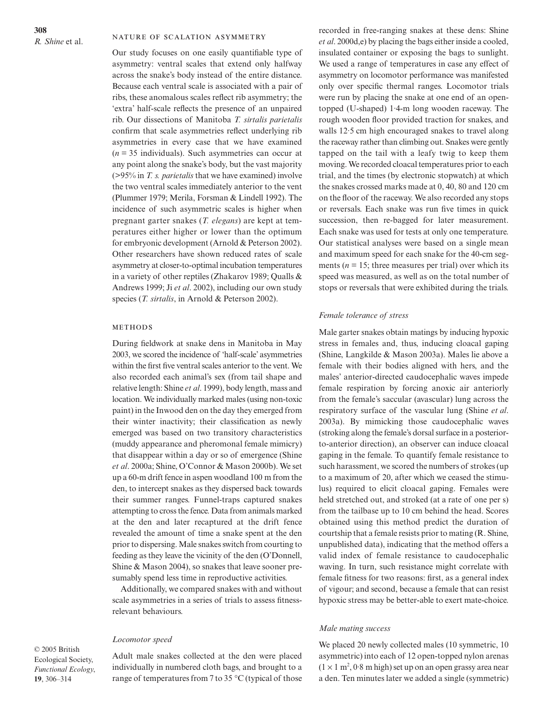# NATURE OF SCALATION ASYMMETRY

Our study focuses on one easily quantifiable type of asymmetry: ventral scales that extend only halfway across the snake's body instead of the entire distance. Because each ventral scale is associated with a pair of ribs, these anomalous scales reflect rib asymmetry; the 'extra' half-scale reflects the presence of an unpaired rib. Our dissections of Manitoba *T. sirtalis parietalis* confirm that scale asymmetries reflect underlying rib asymmetries in every case that we have examined  $(n = 35$  individuals). Such asymmetries can occur at any point along the snake's body, but the vast majority (>95% in *T. s. parietalis* that we have examined) involve the two ventral scales immediately anterior to the vent (Plummer 1979; Merila, Forsman & Lindell 1992). The incidence of such asymmetric scales is higher when pregnant garter snakes (*T. elegans*) are kept at temperatures either higher or lower than the optimum for embryonic development (Arnold & Peterson 2002). Other researchers have shown reduced rates of scale asymmetry at closer-to-optimal incubation temperatures in a variety of other reptiles (Zhakarov 1989; Qualls & Andrews 1999; Ji *et al*. 2002), including our own study species (*T. sirtalis*, in Arnold & Peterson 2002).

#### **METHODS**

During fieldwork at snake dens in Manitoba in May 2003, we scored the incidence of 'half-scale' asymmetries within the first five ventral scales anterior to the vent. We also recorded each animal's sex (from tail shape and relative length: Shine *et al*. 1999), body length, mass and location. We individually marked males (using non-toxic paint) in the Inwood den on the day they emerged from their winter inactivity; their classification as newly emerged was based on two transitory characteristics (muddy appearance and pheromonal female mimicry) that disappear within a day or so of emergence (Shine *et al*. 2000a; Shine, O'Connor & Mason 2000b). We set up a 60-m drift fence in aspen woodland 100 m from the den, to intercept snakes as they dispersed back towards their summer ranges. Funnel-traps captured snakes attempting to cross the fence. Data from animals marked at the den and later recaptured at the drift fence revealed the amount of time a snake spent at the den prior to dispersing. Male snakes switch from courting to feeding as they leave the vicinity of the den (O'Donnell, Shine & Mason 2004), so snakes that leave sooner presumably spend less time in reproductive activities.

Additionally, we compared snakes with and without scale asymmetries in a series of trials to assess fitnessrelevant behaviours.

#### *Locomotor speed*

© 2005 British Ecological Society, *Functional Ecology*, **19**, 306–314

Adult male snakes collected at the den were placed individually in numbered cloth bags, and brought to a range of temperatures from 7 to 35 °C (typical of those

recorded in free-ranging snakes at these dens: Shine *et al*. 2000d,e) by placing the bags either inside a cooled, insulated container or exposing the bags to sunlight. We used a range of temperatures in case any effect of asymmetry on locomotor performance was manifested only over specific thermal ranges. Locomotor trials were run by placing the snake at one end of an opentopped (U-shaped) 1·4-m long wooden raceway. The rough wooden floor provided traction for snakes, and walls 12·5 cm high encouraged snakes to travel along the raceway rather than climbing out. Snakes were gently tapped on the tail with a leafy twig to keep them moving. We recorded cloacal temperatures prior to each trial, and the times (by electronic stopwatch) at which the snakes crossed marks made at 0, 40, 80 and 120 cm on the floor of the raceway. We also recorded any stops or reversals. Each snake was run five times in quick succession, then re-bagged for later measurement. Each snake was used for tests at only one temperature. Our statistical analyses were based on a single mean and maximum speed for each snake for the 40-cm segments ( $n = 15$ ; three measures per trial) over which its speed was measured, as well as on the total number of stops or reversals that were exhibited during the trials.

#### *Female tolerance of stress*

Male garter snakes obtain matings by inducing hypoxic stress in females and, thus, inducing cloacal gaping (Shine, Langkilde & Mason 2003a). Males lie above a female with their bodies aligned with hers, and the males' anterior-directed caudocephalic waves impede female respiration by forcing anoxic air anteriorly from the female's saccular (avascular) lung across the respiratory surface of the vascular lung (Shine *et al*. 2003a). By mimicking those caudocephalic waves (stroking along the female's dorsal surface in a posteriorto-anterior direction), an observer can induce cloacal gaping in the female. To quantify female resistance to such harassment, we scored the numbers of strokes (up to a maximum of 20, after which we ceased the stimulus) required to elicit cloacal gaping. Females were held stretched out, and stroked (at a rate of one per s) from the tailbase up to 10 cm behind the head. Scores obtained using this method predict the duration of courtship that a female resists prior to mating (R. Shine, unpublished data), indicating that the method offers a valid index of female resistance to caudocephalic waving. In turn, such resistance might correlate with female fitness for two reasons: first, as a general index of vigour; and second, because a female that can resist hypoxic stress may be better-able to exert mate-choice.

#### *Male mating success*

We placed 20 newly collected males (10 symmetric, 10 asymmetric) into each of 12 open-topped nylon arenas  $(1 \times 1 \text{ m}^2, 0.8 \text{ m} \text{ high})$  set up on an open grassy area near a den. Ten minutes later we added a single (symmetric)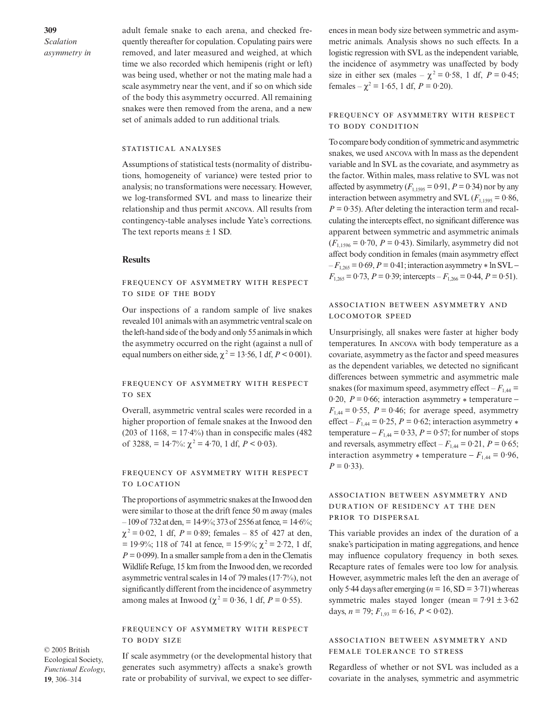**309** *Scalation asymmetry in*  adult female snake to each arena, and checked frequently thereafter for copulation. Copulating pairs were removed, and later measured and weighed, at which time we also recorded which hemipenis (right or left) was being used, whether or not the mating male had a scale asymmetry near the vent, and if so on which side of the body this asymmetry occurred. All remaining snakes were then removed from the arena, and a new set of animals added to run additional trials.

# STATISTICAL ANALYSES

Assumptions of statistical tests (normality of distributions, homogeneity of variance) were tested prior to analysis; no transformations were necessary. However, we log-transformed SVL and mass to linearize their relationship and thus permit ANCOVA. All results from contingency-table analyses include Yate's corrections. The text reports means  $\pm$  1 SD.

#### **Results**

# FREQUENCY OF ASYMMETRY WITH RESPECT TO SIDE OF THE BODY

Our inspections of a random sample of live snakes revealed 101 animals with an asymmetric ventral scale on the left-hand side of the body and only 55 animals in which the asymmetry occurred on the right (against a null of equal numbers on either side,  $\chi^2 = 13.56$ , 1 df,  $P < 0.001$ ).

#### FREQUENCY OF ASYMMETRY WITH RESPECT TO SEX

Overall, asymmetric ventral scales were recorded in a higher proportion of female snakes at the Inwood den (203 of  $1168$ , =  $17.4\%$ ) than in conspecific males (482) of 3288,  $= 14.7\%$ :  $\chi^2 = 4.70$ , 1 df,  $P < 0.03$ ).

#### FREQUENCY OF ASYMMETRY WITH RESPECT TO LOCATION

The proportions of asymmetric snakes at the Inwood den were similar to those at the drift fence 50 m away (males  $-109$  of 732 at den, = 14 $\cdot$ 9%; 373 of 2556 at fence, = 14 $\cdot$ 6%;  $\chi^2 = 0.02$ , 1 df,  $P = 0.89$ ; females – 85 of 427 at den, = 19.9%; 118 of 741 at fence, = 15.9%;  $\chi^2$  = 2.72, 1 df,  $P = 0.099$ ). In a smaller sample from a den in the Clematis Wildlife Refuge, 15 km from the Inwood den, we recorded asymmetric ventral scales in 14 of 79 males (17·7%), not significantly different from the incidence of asymmetry among males at Inwood ( $\chi^2 = 0.36$ , 1 df, *P* = 0.55).

#### FREQUENCY OF ASYMMETRY WITH RESPECT TO BODY SIZE

© 2005 British Ecological Society, *Functional Ecology*, **19**, 306–314

If scale asymmetry (or the developmental history that generates such asymmetry) affects a snake's growth rate or probability of survival, we expect to see differences in mean body size between symmetric and asymmetric animals. Analysis shows no such effects. In a logistic regression with SVL as the independent variable, the incidence of asymmetry was unaffected by body size in either sex (males  $-\chi^2 = 0.58$ , 1 df,  $P = 0.45$ ; females –  $\chi^2$  = 1.65, 1 df, *P* = 0.20).

# FREQUENCY OF ASYMMETRY WITH RESPECT TO BODY CONDITION

To compare body condition of symmetric and asymmetric snakes, we used ANCOVA with ln mass as the dependent variable and ln SVL as the covariate, and asymmetry as the factor. Within males, mass relative to SVL was not affected by asymmetry  $(F_{1,1595} = 0.91, P = 0.34)$  nor by any interaction between asymmetry and SVL  $(F_{1,1595} = 0.86,$  $P = 0.35$ ). After deleting the interaction term and recalculating the intercepts effect, no significant difference was apparent between symmetric and asymmetric animals  $(F_{1.1596} = 0.70, P = 0.43)$ . Similarly, asymmetry did not affect body condition in females (main asymmetry effect  $-F_{1,265} = 0.69, P = 0.41$ ; interaction asymmetry \* ln SVL –  $F_{1,265} = 0.73$ ,  $P = 0.39$ ; intercepts  $-F_{1,266} = 0.44$ ,  $P = 0.51$ ).

#### ASSOCIATION BETWEEN ASYMMETRY AND **LOCOMOTOR SPEED**

Unsurprisingly, all snakes were faster at higher body temperatures. In ANCOVA with body temperature as a covariate, asymmetry as the factor and speed measures as the dependent variables, we detected no significant differences between symmetric and asymmetric male snakes (for maximum speed, asymmetry effect –  $F_{1,44}$  = 0·20, *P* = 0·66; interaction asymmetry \* temperature −  $F_{1,44} = 0.55$ ,  $P = 0.46$ ; for average speed, asymmetry effect –  $F_{1,44}$  = 0.25,  $P = 0.62$ ; interaction asymmetry  $*$ temperature  $-F_{1,44} = 0.33$ ,  $P = 0.57$ ; for number of stops and reversals, asymmetry effect –  $F_{1,44} = 0.21$ ,  $P = 0.65$ ; interaction asymmetry  $*$  temperature  $-F_{1,44} = 0.96$ ,  $P = 0.33$ .

# ASSOCIATION BETWEEN ASYMMETRY AND DURATION OF RESIDENCY AT THE DEN PRIOR TO DISPERSAL

This variable provides an index of the duration of a snake's participation in mating aggregations, and hence may influence copulatory frequency in both sexes. Recapture rates of females were too low for analysis. However, asymmetric males left the den an average of only 5.44 days after emerging ( $n = 16$ , SD = 3.71) whereas symmetric males stayed longer (mean =  $7.91 \pm 3.62$ ) days,  $n = 79$ ;  $F_{1,93} = 6.16$ ,  $P < 0.02$ ).

### ASSOCIATION BETWEEN ASYMMETRY AND FEMALE TOLERANCE TO STRESS

Regardless of whether or not SVL was included as a covariate in the analyses, symmetric and asymmetric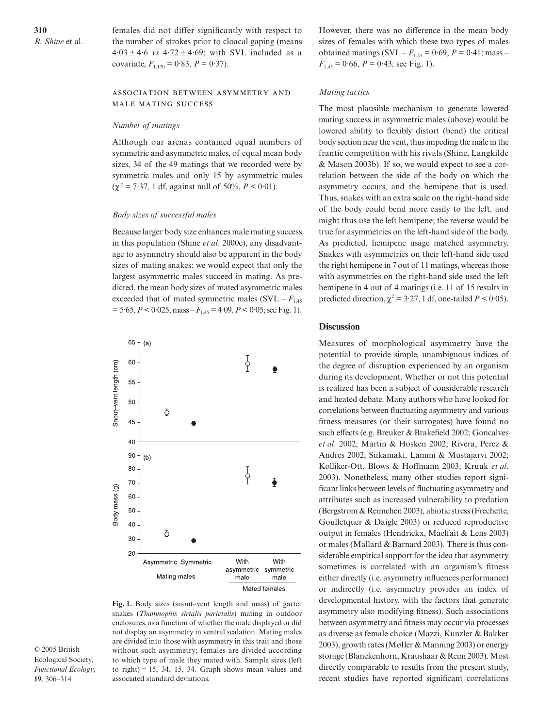females did not differ significantly with respect to the number of strokes prior to cloacal gaping (means  $4.03 \pm 4.6$  *vs*  $4.72 \pm 4.69$ ; with SVL included as a covariate,  $F_{1,170} = 0.83$ ,  $P = 0.37$ .

# ASSOCIATION BETWEEN ASYMMETRY AND MALE MATING SUCCESS

#### *Number of matings*

Although our arenas contained equal numbers of symmetric and asymmetric males, of equal mean body sizes, 34 of the 49 matings that we recorded were by symmetric males and only 15 by asymmetric males  $(\chi^2 = 7.37, 1 \text{ df}, \text{ against null of } 50\%, P < 0.01).$ 

#### *Body sizes of successful males*

Because larger body size enhances male mating success in this population (Shine *et al*. 2000c), any disadvantage to asymmetry should also be apparent in the body sizes of mating snakes: we would expect that only the largest asymmetric males succeed in mating. As predicted, the mean body sizes of mated asymmetric males exceeded that of mated symmetric males ( $SVL - F<sub>1.45</sub>$  $= 5.65, P < 0.025; \text{mass} - F_{1.45} = 4.09, P < 0.05; \text{see Fig. 1}.$ 





© 2005 British Ecological Society, *Functional Ecology*, **19**, 306–314

However, there was no difference in the mean body sizes of females with which these two types of males obtained matings (SVL –  $F_{1,45} = 0.69$ ,  $P = 0.41$ ; mass –  $F_{1,45} = 0.66$ ,  $P = 0.43$ ; see Fig. 1).

#### *Mating tactics*

The most plausible mechanism to generate lowered mating success in asymmetric males (above) would be lowered ability to flexibly distort (bend) the critical body section near the vent, thus impeding the male in the frantic competition with his rivals (Shine, Langkilde & Mason 2003b). If so, we would expect to see a correlation between the side of the body on which the asymmetry occurs, and the hemipene that is used. Thus, snakes with an extra scale on the right-hand side of the body could bend more easily to the left, and might thus use the left hemipene; the reverse would be true for asymmetries on the left-hand side of the body. As predicted, hemipene usage matched asymmetry. Snakes with asymmetries on their left-hand side used the right hemipene in 7 out of 11 matings, whereas those with asymmetries on the right-hand side used the left hemipene in 4 out of 4 matings (i.e. 11 of 15 results in predicted direction,  $\chi^2 = 3.27$ , 1 df, one-tailed  $P < 0.05$ ).

#### **Discussion**

Measures of morphological asymmetry have the potential to provide simple, unambiguous indices of the degree of disruption experienced by an organism during its development. Whether or not this potential is realized has been a subject of considerable research and heated debate. Many authors who have looked for correlations between fluctuating asymmetry and various fitness measures (or their surrogates) have found no such effects (e.g. Breuker & Brakefield 2002; Goncalves *et al*. 2002; Martin & Hosken 2002; Rivera, Perez & Andres 2002; Siikamaki, Lammi & Mustajarvi 2002; Kolliker-Ott, Blows & Hoffmann 2003; Kruuk *et al*. 2003). Nonetheless, many other studies report significant links between levels of fluctuating asymmetry and attributes such as increased vulnerability to predation (Bergstrom & Reimchen 2003), abiotic stress (Frechette, Goulletquer & Daigle 2003) or reduced reproductive output in females (Hendrickx, Maelfait & Lens 2003) or males (Mallard & Barnard 2003). There is thus considerable empirical support for the idea that asymmetry sometimes is correlated with an organism's fitness either directly (i.e. asymmetry influences performance) or indirectly (i.e. asymmetry provides an index of developmental history, with the factors that generate asymmetry also modifying fitness). Such associations between asymmetry and fitness may occur via processes as diverse as female choice (Mazzi, Kunzler & Bakker 2003), growth rates (MøIler & Manning 2003) or energy storage (Blanckenhorn, Kraushaar & Reim 2003). Most directly comparable to results from the present study, recent studies have reported significant correlations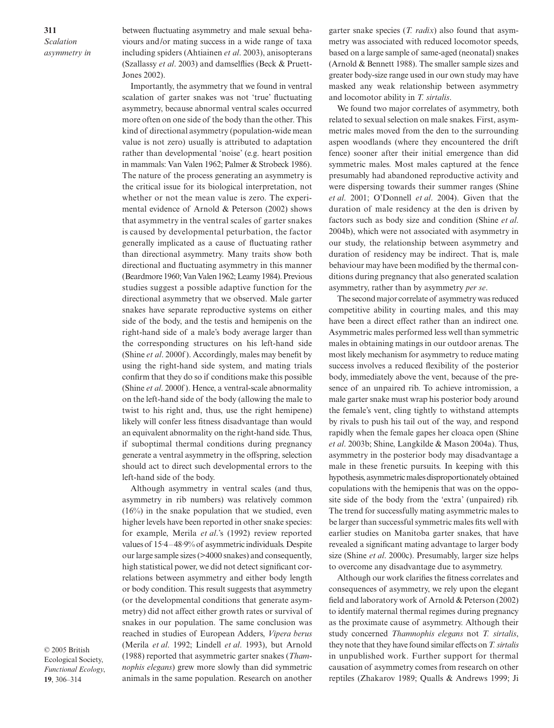between fluctuating asymmetry and male sexual behaviours and/or mating success in a wide range of taxa including spiders (Ahtiainen *et al*. 2003), anisopterans (Szallassy *et al*. 2003) and damselflies (Beck & Pruett-Jones 2002).

Importantly, the asymmetry that we found in ventral scalation of garter snakes was not 'true' fluctuating asymmetry, because abnormal ventral scales occurred more often on one side of the body than the other. This kind of directional asymmetry (population-wide mean value is not zero) usually is attributed to adaptation rather than developmental 'noise' (e.g. heart position in mammals: Van Valen 1962; Palmer & Strobeck 1986). The nature of the process generating an asymmetry is the critical issue for its biological interpretation, not whether or not the mean value is zero. The experimental evidence of Arnold & Peterson (2002) shows that asymmetry in the ventral scales of garter snakes is caused by developmental peturbation, the factor generally implicated as a cause of fluctuating rather than directional asymmetry. Many traits show both directional and fluctuating asymmetry in this manner (Beardmore 1960; Van Valen 1962; Leamy 1984). Previous studies suggest a possible adaptive function for the directional asymmetry that we observed. Male garter snakes have separate reproductive systems on either side of the body, and the testis and hemipenis on the right-hand side of a male's body average larger than the corresponding structures on his left-hand side (Shine *et al*. 2000f ). Accordingly, males may benefit by using the right-hand side system, and mating trials confirm that they do so if conditions make this possible (Shine *et al*. 2000f ). Hence, a ventral-scale abnormality on the left-hand side of the body (allowing the male to twist to his right and, thus, use the right hemipene) likely will confer less fitness disadvantage than would an equivalent abnormality on the right-hand side. Thus, if suboptimal thermal conditions during pregnancy generate a ventral asymmetry in the offspring, selection should act to direct such developmental errors to the left-hand side of the body.

Although asymmetry in ventral scales (and thus, asymmetry in rib numbers) was relatively common  $(16%)$  in the snake population that we studied, even higher levels have been reported in other snake species: for example, Merila *et al*.'s (1992) review reported values of 15·4–48·9% of asymmetric individuals. Despite our large sample sizes (>4000 snakes) and consequently, high statistical power, we did not detect significant correlations between asymmetry and either body length or body condition. This result suggests that asymmetry (or the developmental conditions that generate asymmetry) did not affect either growth rates or survival of snakes in our population. The same conclusion was reached in studies of European Adders, *Vipera berus* (Merila *et al*. 1992; Lindell *et al*. 1993), but Arnold (1988) reported that asymmetric garter snakes (*Thamnophis elegans*) grew more slowly than did symmetric animals in the same population. Research on another

© 2005 British Ecological Society, *Functional Ecology*, **19**, 306–314

garter snake species (*T. radix*) also found that asymmetry was associated with reduced locomotor speeds, based on a large sample of same-aged (neonatal) snakes (Arnold & Bennett 1988). The smaller sample sizes and greater body-size range used in our own study may have masked any weak relationship between asymmetry and locomotor ability in *T. sirtalis*.

We found two major correlates of asymmetry, both related to sexual selection on male snakes. First, asymmetric males moved from the den to the surrounding aspen woodlands (where they encountered the drift fence) sooner after their initial emergence than did symmetric males. Most males captured at the fence presumably had abandoned reproductive activity and were dispersing towards their summer ranges (Shine *et al*. 2001; O'Donnell *et al*. 2004). Given that the duration of male residency at the den is driven by factors such as body size and condition (Shine *et al*. 2004b), which were not associated with asymmetry in our study, the relationship between asymmetry and duration of residency may be indirect. That is, male behaviour may have been modified by the thermal conditions during pregnancy that also generated scalation asymmetry, rather than by asymmetry *per se*.

The second major correlate of asymmetry was reduced competitive ability in courting males, and this may have been a direct effect rather than an indirect one. Asymmetric males performed less well than symmetric males in obtaining matings in our outdoor arenas. The most likely mechanism for asymmetry to reduce mating success involves a reduced flexibility of the posterior body, immediately above the vent, because of the presence of an unpaired rib. To achieve intromission, a male garter snake must wrap his posterior body around the female's vent, cling tightly to withstand attempts by rivals to push his tail out of the way, and respond rapidly when the female gapes her cloaca open (Shine *et al*. 2003b; Shine, Langkilde & Mason 2004a). Thus, asymmetry in the posterior body may disadvantage a male in these frenetic pursuits. In keeping with this hypothesis, asymmetric males disproportionately obtained copulations with the hemipenis that was on the opposite side of the body from the 'extra' (unpaired) rib. The trend for successfully mating asymmetric males to be larger than successful symmetric males fits well with earlier studies on Manitoba garter snakes, that have revealed a significant mating advantage to larger body size (Shine *et al*. 2000c). Presumably, larger size helps to overcome any disadvantage due to asymmetry.

Although our work clarifies the fitness correlates and consequences of asymmetry, we rely upon the elegant field and laboratory work of Arnold & Peterson (2002) to identify maternal thermal regimes during pregnancy as the proximate cause of asymmetry. Although their study concerned *Thamnophis elegans* not *T. sirtalis*, they note that they have found similar effects on *T.sirtalis* in unpublished work. Further support for thermal causation of asymmetry comes from research on other reptiles (Zhakarov 1989; Qualls & Andrews 1999; Ji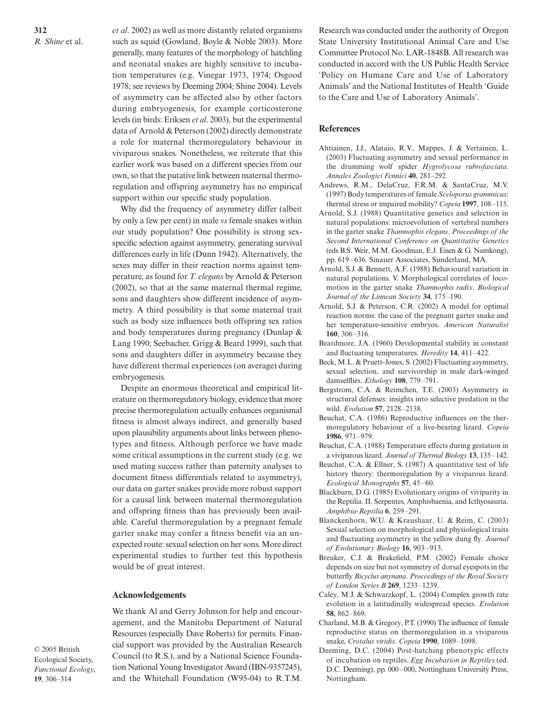**312** *R. Shine* et al. *et al*. 2002) as well as more distantly related organisms such as squid (Gowland, Boyle & Noble 2003). More generally, many features of the morphology of hatchling and neonatal snakes are highly sensitive to incubation temperatures (e.g. Vinegar 1973, 1974; Osgood 1978; see reviews by Deeming 2004; Shine 2004). Levels of asymmetry can be affected also by other factors during embryogenesis, for example corticosterone levels (in birds: Eriksen *et al*. 2003), but the experimental data of Arnold & Peterson (2002) directly demonstrate a role for maternal thermoregulatory behaviour in viviparous snakes. Nonetheless, we reiterate that this earlier work was based on a different species from our own, so that the putative link between maternal thermoregulation and offspring asymmetry has no empirical support within our specific study population.

Why did the frequency of asymmetry differ (albeit by only a few per cent) in male *vs* female snakes within our study population? One possibility is strong sexspecific selection against asymmetry, generating survival differences early in life (Dunn 1942). Alternatively, the sexes may differ in their reaction norms against temperature, as found for *T. elegans* by Arnold & Peterson (2002), so that at the same maternal thermal regime, sons and daughters show different incidence of asymmetry. A third possibility is that some maternal trait such as body size influences both offspring sex ratios and body temperatures during pregnancy (Dunlap & Lang 1990; Seebacher, Grigg & Beard 1999), such that sons and daughters differ in asymmetry because they have different thermal experiences (on average) during embryogenesis.

Despite an enormous theoretical and empirical literature on thermoregulatory biology, evidence that more precise thermoregulation actually enhances organismal fitness is almost always indirect, and generally based upon plausibility arguments about links between phenotypes and fitness. Although perforce we have made some critical assumptions in the current study (e.g. we used mating success rather than paternity analyses to document fitness differentials related to asymmetry), our data on garter snakes provide more robust support for a causal link between maternal thermoregulation and offspring fitness than has previously been available. Careful thermoregulation by a pregnant female garter snake may confer a fitness benefit via an unexpected route: sexual selection on her sons. More direct experimental studies to further test this hypothesis would be of great interest.

#### **Acknowledgements**

We thank Al and Gerry Johnson for help and encouragement, and the Manitoba Department of Natural Resources (especially Dave Roberts) for permits. Financial support was provided by the Australian Research Council (to R.S.), and by a National Science Foundation National Young Investigator Award (IBN-9357245), and the Whitehall Foundation (W95-04) to R.T.M.

Research was conducted under the authority of Oregon State University Institutional Animal Care and Use Committee Protocol No. LAR-1848B. All research was conducted in accord with the US Public Health Service 'Policy on Humane Care and Use of Laboratory Animals' and the National Institutes of Health 'Guide to the Care and Use of Laboratory Animals'.

### **References**

- Ahtiainen, J.J., Alataio, R.V., Mappes, J. & Vertainen, L. (2003) Fluctuating asymmetry and sexual performance in the drumming wolf spider *Hygrolycosa rubrofasciata*. *Annales Zoologici Fennici* **40**, 281–292.
- Andrews, R.M., DelaCruz, F.R.M. & SantaCruz, M.V. (1997) Body temperatures of female *Sceloporus grammicus*: thermal stress or impaired mobility? *Copeia* **1997**, 108–115.
- Arnold, S.J. (1988) Quantitative genetics and selection in natural populations: microevolution of vertebral numbers in the garter snake *Thamnophis elegans*. *Proceedings of the Second International Conference on Quantitative Genetics* (eds B.S. Weir, M.M. Goodman, E.J. Eisen & G. Namkong), pp. 619–636. Sinauer Associates, Sunderland, MA.
- Arnold, S.J. & Bennett, A.F. (1988) Behavioural variation in natural populations. V. Morphological correlates of locomotion in the garter snake *Thamnophis radix*. *Biological Journal of the Linnean Society* **34**, 175–190.
- Arnold, S.J. & Peterson, C.R. (2002) A model for optimal reaction norms: the case of the pregnant garter snake and her temperature-sensitive embryos. *American Naturalist* **160**, 306–316.
- Beardmore, J.A. (1960) Developmental stability in constant and fluctuating temperatures. *Heredity* **14**, 411–422.
- Beck, M.L. & Pruett-Jones, S. (2002) Fluctuating asymmetry, sexual selection, and survivorship in male dark-winged damselflies. *Ethology* **108**, 779–791.
- Bergstrom, C.A. & Reimchen, T.E. (2003) Asymmetry in structural defenses: insights into selective predation in the wild. *Evolution* **57**, 2128–2138.
- Beuchat, C.A. (1986) Reproductive influences on the thermoregulatory behaviour of a live-bearing lizard. *Copeia* **1986**, 971–979.
- Beuchat, C.A. (1988) Temperature effects during gestation in a viviparous lizard. *Journal of Thermal Biology* **13**, 135–142.
- Beuchat, C.A. & Ellner, S. (1987) A quantitative test of life history theory: thermoregulation by a viviparous lizard. *Ecological Monographs* **57**, 45–60.
- Blackburn, D.G. (1985) Evolutionary origins of viviparity in the Reptilia. II. Serpentes, Amphisbaenia, and Icthyosauria. *Amphibia-Reptilia* **6**, 259–291.
- Blanckenhorn, W.U. & Kraushaar, U. & Reim, C. (2003) Sexual selection on morphological and physiological traits and fluctuating asymmetry in the yellow dung fly. *Journal of Evolutionary Biology* **16**, 903–913.
- Breuker, C.J. & Brakefield, P.M. (2002) Female choice depends on size but not symmetry of dorsal eyespots in the butterfly *Bicyclus anynana*. *Proceedings of the Royal Society of London Series B* **269**, 1233–1239.
- Caley, M.J. & Schwarzkopf, L. (2004) Complex growth rate evolution in a latitudinally widespread species. *Evolution* **58**, 862–869.
- Charland, M.B. & Gregory, P.T. (1990) The influence of female reproductive status on thermoregulation in a viviparous snake, *Crotalus viridis*. *Copeia* **1990**, 1089–1098.
- Deeming, D.C. (2004) Post-hatching phenotypic effects of incubation on reptiles. *Egg Incubation in Reptiles* (ed. D.C. Deeming), pp. 000–000, Nottingham University Press, Nottingham.

© 2005 British Ecological Society, *Functional Ecology*, **19**, 306–314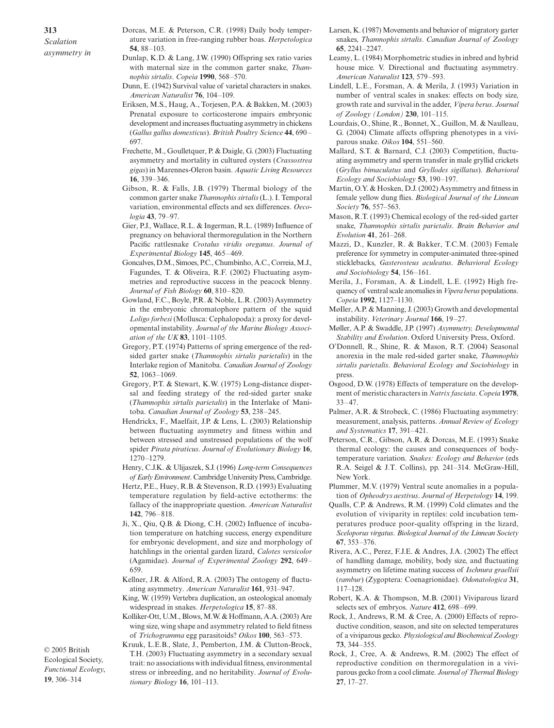*Scalation asymmetry in* 

- Dorcas, M.E. & Peterson, C.R. (1998) Daily body temperature variation in free-ranging rubber boas. *Herpetologica* **54**, 88–103.
- Dunlap, K.D. & Lang, J.W. (1990) Offspring sex ratio varies with maternal size in the common garter snake, *Thamnophis sirtalis*. *Copeia* **1990**, 568–570.
- Dunn, E. (1942) Survival value of varietal characters in snakes. *American Naturalist* **76**, 104–109.
- Eriksen, M.S., Haug, A., Torjesen, P.A. & Bakken, M. (2003) Prenatal exposure to corticosterone impairs embryonic development and increases fluctuating asymmetry in chickens (*Gallus gallus domesticus*). *British Poultry Science* **44**, 690– 697.
- Frechette, M., Goulletquer, P. & Daigle, G. (2003) Fluctuating asymmetry and mortality in cultured oysters (*Crassostrea gigas*) in Marennes-Oleron basin. *Aquatic Living Resources* **16**, 339–346.
- Gibson, R. & Falls, J.B. (1979) Thermal biology of the common garter snake *Thamnophis sirtalis* (L.). I. Temporal variation, environmental effects and sex differences. *Oecologia* **43**, 79–97.
- Gier, P.J., Wallace, R.L. & Ingerman, R.L. (1989) Influence of pregnancy on behavioral thermoregulation in the Northern Pacific rattlesnake *Crotalus viridis oreganus*. *Journal of Experimental Biology* **145**, 465–469.
- Goncalves, D.M., Simoes, P.C., Chumbinho, A.C., Correia, M.J., Fagundes, T. & Oliveira, R.F. (2002) Fluctuating asymmetries and reproductive success in the peacock blenny. *Journal of Fish Biology* **60**, 810–820.
- Gowland, F.C., Boyle, P.R. & Noble, L.R. (2003) Asymmetry in the embryonic chromatophore pattern of the squid *Loligo forbesi* (Mollusca: Cephalopoda): a proxy for developmental instability. *Journal of the Marine Biology Association of the UK* **83**, 1101–1105.
- Gregory, P.T. (1974) Patterns of spring emergence of the redsided garter snake (*Thamnophis sirtalis parietalis*) in the Interlake region of Manitoba. *Canadian Journal of Zoology* **52**, 1063–1069.
- Gregory, P.T. & Stewart, K.W. (1975) Long-distance dispersal and feeding strategy of the red-sided garter snake (*Thamnophis sirtalis parietalis*) in the Interlake of Manitoba. *Canadian Journal of Zoology* **53**, 238–245.
- Hendrickx, F., Maelfait, J.P. & Lens, L. (2003) Relationship between fluctuating asymmetry and fitness within and between stressed and unstressed populations of the wolf spider *Pirata piraticus*. *Journal of Evolutionary Biology* **16**, 1270–1279.
- Henry, C.J.K. & Ulijaszek, S.J. (1996) *Long-term Consequences of Early Environment*. Cambridge University Press, Cambridge.
- Hertz, P.E., Huey, R.B. & Stevenson, R.D. (1993) Evaluating temperature regulation by field-active ectotherms: the fallacy of the inappropriate question. *American Naturalist* **142**, 796–818.
- Ji, X., Qiu, Q.B. & Diong, C.H. (2002) Influence of incubation temperature on hatching success, energy expenditure for embryonic development, and size and morphology of hatchlings in the oriental garden lizard, *Calotes versicolor* (Agamidae). *Journal of Experimental Zoology* **292**, 649– 659.
- Kellner, J.R. & Alford, R.A. (2003) The ontogeny of fluctuating asymmetry. *American Naturalist* **161**, 931–947.
- King, W. (1959) Vertebra duplication, an osteological anomaly widespread in snakes. *Herpetologica* **15**, 87–88.
- Kolliker-Ott, U.M., Blows, M.W. & Hoffmann, A.A. (2003) Are wing size, wing shape and asymmetry related to field fitness of *Trichogramma* egg parasitoids? *Oikos* **100**, 563–573.

© 2005 British Ecological Society, *Functional Ecology*, **19**, 306–314

Kruuk, L.E.B., Slate, J., Pemberton, J.M. & Clutton-Brock, T.H. (2003) Fluctuating asymmetry in a secondary sexual trait: no associations with individual fitness, environmental stress or inbreeding, and no heritability. *Journal of Evolutionary Biology* **16**, 101–113.

- Larsen, K. (1987) Movements and behavior of migratory garter snakes, *Thamnophis sirtalis*. *Canadian Journal of Zoology* **65**, 2241–2247.
- Leamy, L. (1984) Morphometric studies in inbred and hybrid house mice. V. Directional and fluctuating asymmetry. *American Naturalist* **123**, 579–593.
- Lindell, L.E., Forsman, A. & Merila, J. (1993) Variation in number of ventral scales in snakes: effects on body size, growth rate and survival in the adder, *Vipera berus*. *Journal of Zoology (London)* **230**, 101–115.
- Lourdais, O., Shine, R., Bonnet, X., Guillon, M. & Naulleau, G. (2004) Climate affects offspring phenotypes in a viviparous snake. *Oikos* **104**, 551–560.
- Mallard, S.T. & Barnard, C.J. (2003) Competition, fluctuating asymmetry and sperm transfer in male gryllid crickets (*Gryllus bimaculatus* and *Gryllodes sigillatus*). *Behavioral Ecology and Sociobiology* **53**, 190–197.
- Martin, O.Y. & Hosken, D.J. (2002) Asymmetry and fitness in female yellow dung flies. *Biological Journal of the Linnean Society* **76**, 557–563.
- Mason, R.T. (1993) Chemical ecology of the red-sided garter snake, *Thamnophis sirtalis parietalis*. *Brain Behavior and Evolution* **41**, 261–268.
- Mazzi, D., Kunzler, R. & Bakker, T.C.M. (2003) Female preference for symmetry in computer-animated three-spined sticklebacks, *Gasterosteus aculeatus*. *Behavioral Ecology and Sociobiology* **54**, 156–161.
- Merila, J., Forsman, A. & Lindell, L.E. (1992) High frequency of ventral scale anomalies in *Vipera berus* populations. *Copeia* **1992**, 1127–1130.
- MøIler, A.P. & Manning, J. (2003) Growth and developmental instability. *Veterinary Journal* **166**, 19–27.
- Møller, A.P. & Swaddle, J.P. (1997) *Asymmetry, Developmental Stability and Evolution*. Oxford University Press, Oxford.
- O'Donnell, R., Shine, R. & Mason, R.T. (2004) Seasonal anorexia in the male red-sided garter snake, *Thamnophis sirtalis parietalis*. *Behavioral Ecology and Sociobiology* in press.
- Osgood, D.W. (1978) Effects of temperature on the development of meristic characters in *Natrix fasciata*. *Copeia* **1978**, 33–47.
- Palmer, A.R. & Strobeck, C. (1986) Fluctuating asymmetry: measurement, analysis, patterns. *Annual Review of Ecology and Systematics* **17**, 391–421.
- Peterson, C.R., Gibson, A.R. & Dorcas, M.E. (1993) Snake thermal ecology: the causes and consequences of bodytemperature variation. *Snakes: Ecology and Behavior* (eds R.A. Seigel & J.T. Collins), pp. 241–314. McGraw-Hill, New York.
- Plummer, M.V. (1979) Ventral scute anomalies in a population of *Opheodrys aestivus*. *Journal of Herpetology* **14**, 199.
- Qualls, C.P. & Andrews, R.M. (1999) Cold climates and the evolution of viviparity in reptiles: cold incubation temperatures produce poor-quality offspring in the lizard, *Sceloporus virgatus*. *Biological Journal of the Linnean Society* **67**, 353–376.
- Rivera, A.C., Perez, F.J.E. & Andres, J.A. (2002) The effect of handling damage, mobility, body size, and fluctuating asymmetry on lifetime mating success of *Ischnura graellsii* (*rambur*) (Zygoptera: Coenagrionidae). *Odonatologica* **31**, 117–128.
- Robert, K.A. & Thompson, M.B. (2001) Viviparous lizard selects sex of embryos. *Nature* **412**, 698–699.
- Rock, J., Andrews, R.M. & Cree, A. (2000) Effects of reproductive condition, season, and site on selected temperatures of a viviparous gecko. *Physiological and Biochemical Zoology* **73**, 344–355.
- Rock, J., Cree, A. & Andrews, R.M. (2002) The effect of reproductive condition on thermoregulation in a viviparous gecko from a cool climate. *Journal of Thermal Biology* **27**, 17–27.